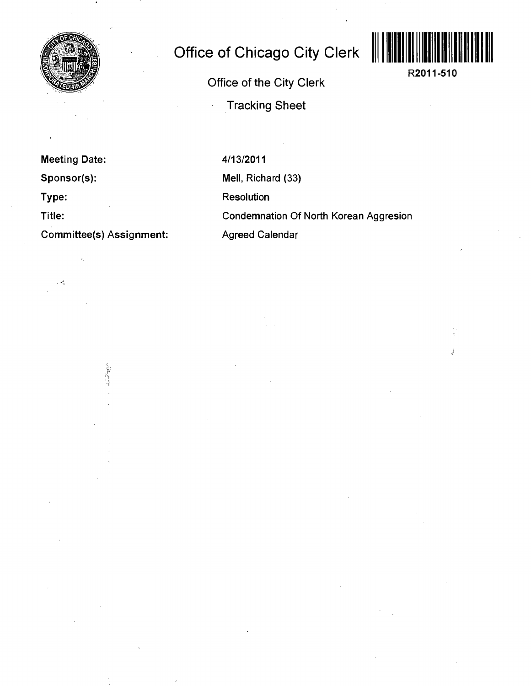

## **Office of Chicago City Clerk**

Ŝ.

**R2011-510** 

Office of the City Clerk

Tracking Sheet

**Meeting Date:** 

**Sponsor(s):** 

**Type:** 

. A

**Title:** 

**Committee(s) Assignment:** 

交が付け

4/13/2011 Mell, Richard (33) Resolution Condemnation Of North Korean Aggresion Agreed Calendar